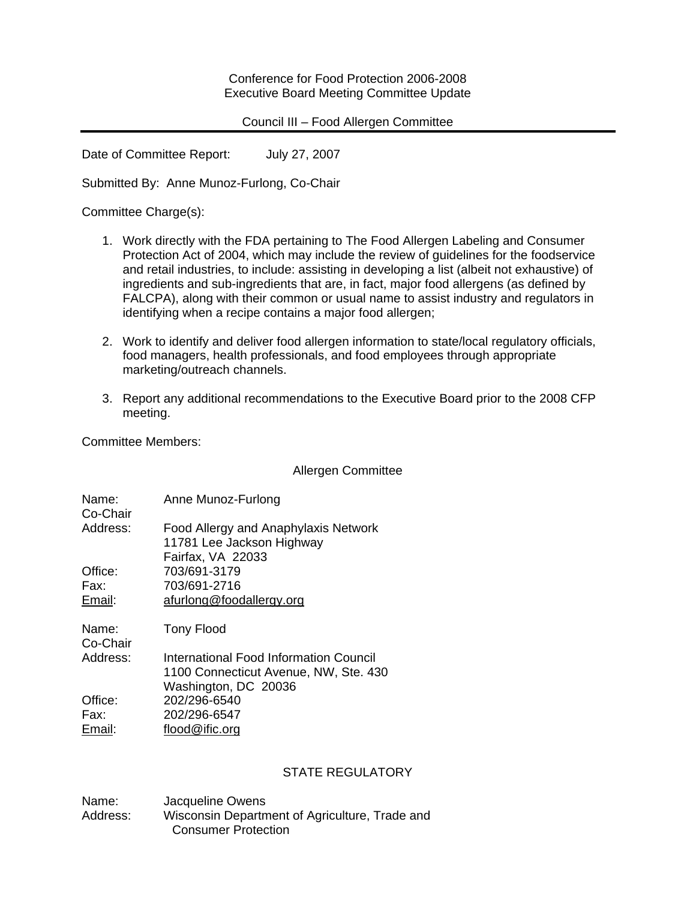Conference for Food Protection 2006-2008 Executive Board Meeting Committee Update

### Council III – Food Allergen Committee

Date of Committee Report: July 27, 2007

Submitted By: Anne Munoz-Furlong, Co-Chair

Committee Charge(s):

- 1. Work directly with the FDA pertaining to The Food Allergen Labeling and Consumer Protection Act of 2004, which may include the review of guidelines for the foodservice and retail industries, to include: assisting in developing a list (albeit not exhaustive) of ingredients and sub-ingredients that are, in fact, major food allergens (as defined by FALCPA), along with their common or usual name to assist industry and regulators in identifying when a recipe contains a major food allergen;
- 2. Work to identify and deliver food allergen information to state/local regulatory officials, food managers, health professionals, and food employees through appropriate marketing/outreach channels.
- 3. Report any additional recommendations to the Executive Board prior to the 2008 CFP meeting.

Committee Members:

Allergen Committee

| Name:<br>Co-Chair | Anne Munoz-Furlong                                                |
|-------------------|-------------------------------------------------------------------|
| Address:          | Food Allergy and Anaphylaxis Network<br>11781 Lee Jackson Highway |
| Office:<br>Fax:   | Fairfax, VA 22033<br>703/691-3179<br>703/691-2716                 |
| Email:            | afurlong@foodallergy.org                                          |
| Name:<br>Co-Chair | <b>Tony Flood</b>                                                 |
| Address:          | International Food Information Council                            |
|                   | 1100 Connecticut Avenue, NW, Ste. 430                             |
|                   | Washington, DC 20036                                              |
| Office:           | 202/296-6540                                                      |
| Fax:              | 202/296-6547                                                      |
| Email:            | flood@ific.org                                                    |

## STATE REGULATORY

Name: Jacqueline Owens Address: Wisconsin Department of Agriculture, Trade and Consumer Protection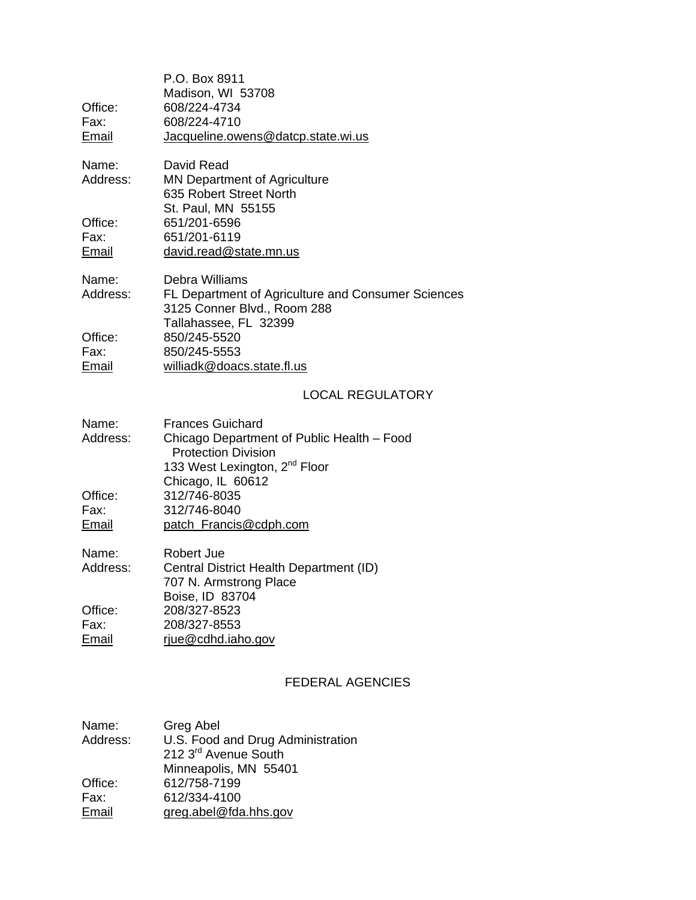| Office:<br>Fax:          | P.O. Box 8911<br>Madison, WI 53708<br>608/224-4734<br>608/224-4710                                                                               |
|--------------------------|--------------------------------------------------------------------------------------------------------------------------------------------------|
| <b>Email</b>             | Jacqueline.owens@datcp.state.wi.us                                                                                                               |
| Name:<br>Address:        | David Read<br><b>MN Department of Agriculture</b><br>635 Robert Street North<br>St. Paul, MN 55155                                               |
| Office:<br>Fax:<br>Email | 651/201-6596<br>651/201-6119<br>david.read@state.mn.us                                                                                           |
| Name:<br>Address:        | Debra Williams<br>FL Department of Agriculture and Consumer Sciences<br>3125 Conner Blvd., Room 288<br>Tallahassee, FL 32399                     |
| Office:<br>Fax:<br>Email | 850/245-5520<br>850/245-5553<br>williadk@doacs.state.fl.us                                                                                       |
|                          | <b>LOCAL REGULATORY</b>                                                                                                                          |
| Name:<br>Address:        | <b>Frances Guichard</b><br>Chicago Department of Public Health - Food<br><b>Protection Division</b><br>133 West Lexington, 2 <sup>nd</sup> Floor |
| Office:<br>Fax:<br>Email | Chicago, IL 60612<br>312/746-8035<br>312/746-8040<br>patch Francis@cdph.com                                                                      |

| Name:    | Robert Jue                              |
|----------|-----------------------------------------|
| Address: | Central District Health Department (ID) |
|          | 707 N. Armstrong Place                  |
|          | Boise, ID 83704                         |
| Office:  | 208/327-8523                            |
| Fax:     | 208/327-8553                            |
| Email    | riue@cdhd.iaho.gov                      |

# FEDERAL AGENCIES

| Greg Abel                         |
|-----------------------------------|
| U.S. Food and Drug Administration |
| 212 3rd Avenue South              |
| Minneapolis, MN 55401             |
| 612/758-7199                      |
| 612/334-4100                      |
| greg.abel@fda.hhs.gov             |
|                                   |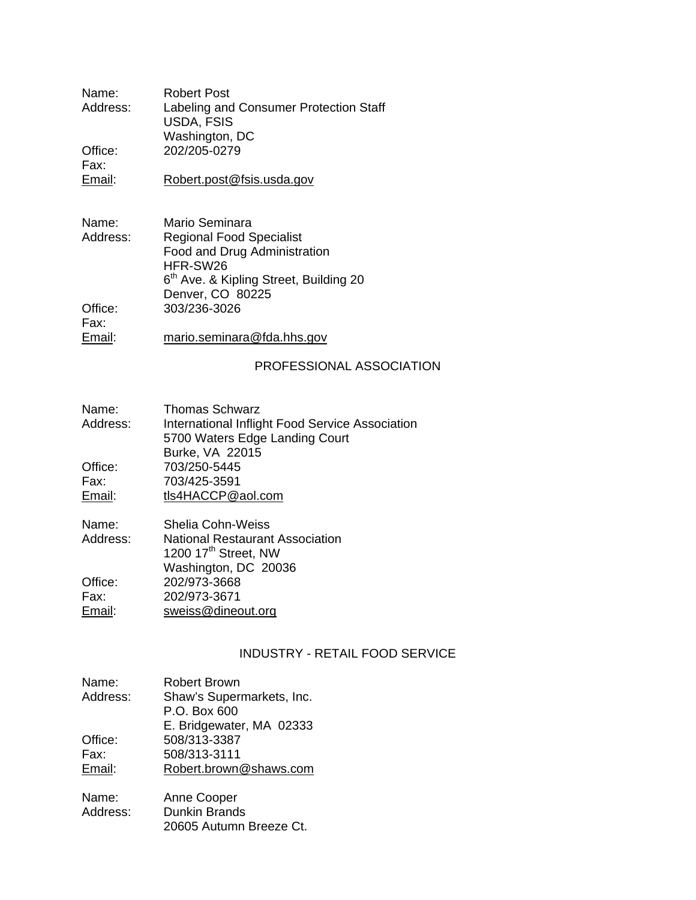Name: Robert Post<br>Address: Labeling and Labeling and Consumer Protection Staff USDA, FSIS Washington, DC Office: 202/205-0279 Fax:<br>Email:

[Robert.post@fsis.usda.gov](mailto:Robert.post@fsis.usda.gov)

- Name: Mario Seminara<br>Address: Regional Food S **Regional Food Specialist**  Food and Drug Administration HFR-SW26 6<sup>th</sup> Ave. & Kipling Street, Building 20 Denver, CO 80225<br>Office: 303/236-3026 Office: 303/236-3026 Fax:<br>Email:
- [mario.seminara@fda.hhs.gov](mailto:mario.seminara@fda.hhs.gov)

### PROFESSIONAL ASSOCIATION

| Name:    | <b>Thomas Schwarz</b>                           |
|----------|-------------------------------------------------|
| Address: | International Inflight Food Service Association |
|          | 5700 Waters Edge Landing Court                  |
|          | Burke, VA 22015                                 |
| Office:  | 703/250-5445                                    |
| Fax:     | 703/425-3591                                    |
| Email:   | tls4HACCP@aol.com                               |
|          |                                                 |

| Name:    | <b>Shelia Cohn-Weiss</b>               |
|----------|----------------------------------------|
| Address: | <b>National Restaurant Association</b> |
|          | 1200 17th Street, NW                   |
|          | Washington, DC 20036                   |
| Office:  | 202/973-3668                           |
| Fax:     | 202/973-3671                           |
| Email:   | sweiss@dineout.org                     |

## INDUSTRY - RETAIL FOOD SERVICE

| Name:    | <b>Robert Brown</b>       |
|----------|---------------------------|
| Address: | Shaw's Supermarkets, Inc. |
|          | P.O. Box 600              |
|          | E. Bridgewater, MA 02333  |
| Office:  | 508/313-3387              |
| Fax:     | 508/313-3111              |
| Email:   | Robert.brown@shaws.com    |
|          |                           |

| Name:    | Anne Cooper             |
|----------|-------------------------|
| Address: | <b>Dunkin Brands</b>    |
|          | 20605 Autumn Breeze Ct. |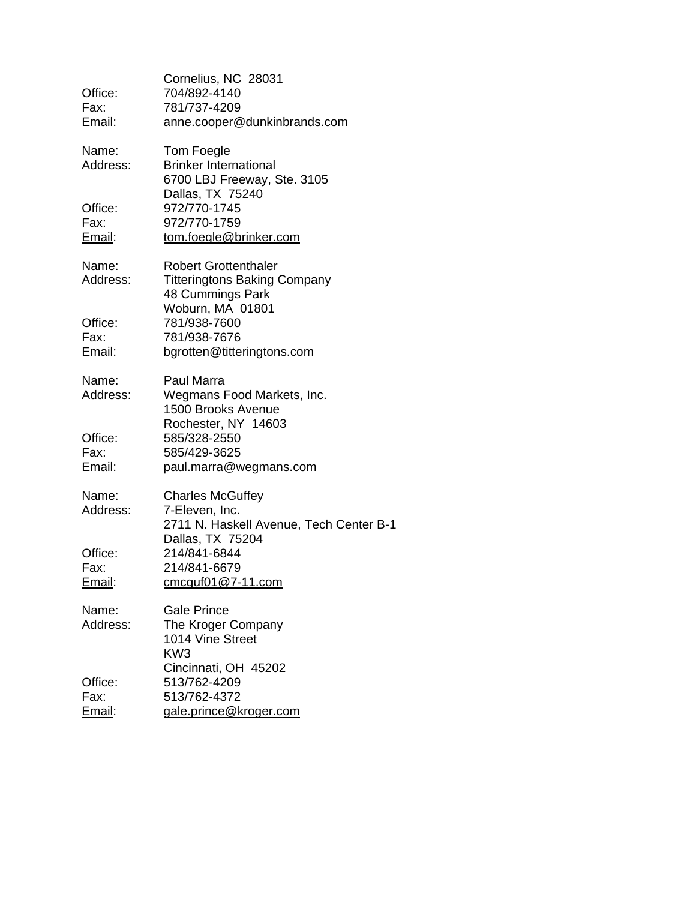| Office:<br>Fax:<br><u>Email</u> : | Cornelius, NC 28031<br>704/892-4140<br>781/737-4209<br>anne.cooper@dunkinbrands.com                        |
|-----------------------------------|------------------------------------------------------------------------------------------------------------|
| Name:<br>Address:                 | Tom Foegle<br><b>Brinker International</b><br>6700 LBJ Freeway, Ste. 3105<br>Dallas, TX 75240              |
| Office:<br>Fax:<br>Email:         | 972/770-1745<br>972/770-1759<br>tom.foegle@brinker.com                                                     |
| Name:<br>Address:                 | <b>Robert Grottenthaler</b><br><b>Titteringtons Baking Company</b><br>48 Cummings Park<br>Woburn, MA 01801 |
| Office:<br>Fax:<br><u>Email</u> : | 781/938-7600<br>781/938-7676<br>bgrotten@titteringtons.com                                                 |
| Name:<br>Address:                 | Paul Marra<br>Wegmans Food Markets, Inc.<br>1500 Brooks Avenue                                             |
| Office:<br>Fax:<br>Email:         | Rochester, NY 14603<br>585/328-2550<br>585/429-3625<br>paul.marra@wegmans.com                              |
| Name:<br>Address:                 | <b>Charles McGuffey</b><br>7-Eleven, Inc.<br>2711 N. Haskell Avenue, Tech Center B-1                       |
| Office:<br>Fax:<br><u>Email</u> : | Dallas, TX 75204<br>214/841-6844<br>214/841-6679<br>$cm$ cquf01 $@$ 7-11.com                               |
| Name:<br>Address:                 | <b>Gale Prince</b><br>The Kroger Company<br>1014 Vine Street<br>KW <sub>3</sub><br>Cincinnati, OH 45202    |
| Office:<br>Fax:<br>Email:         | 513/762-4209<br>513/762-4372<br>gale.prince@kroger.com                                                     |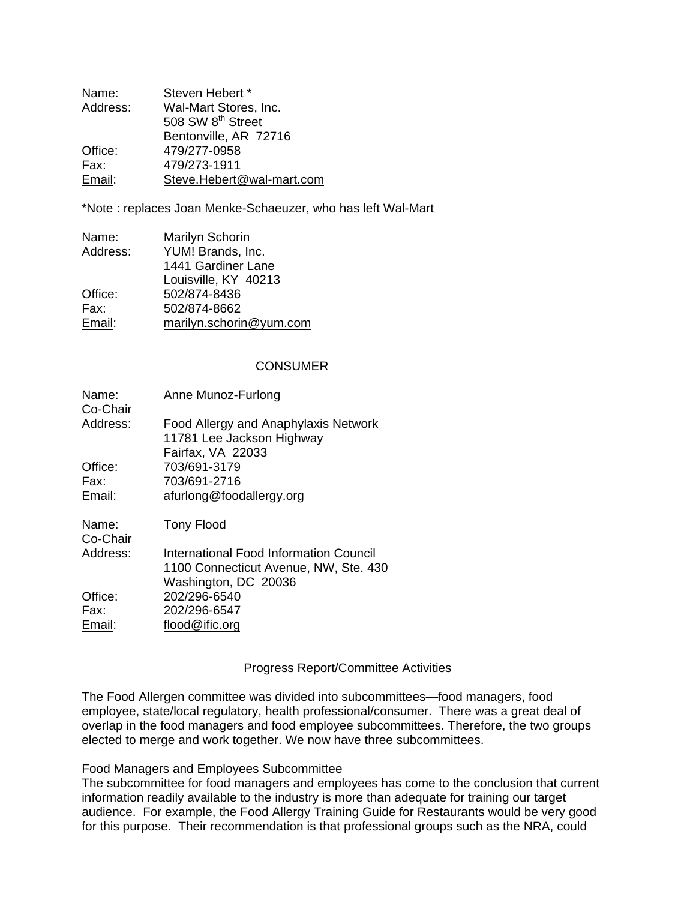| Name:    | Steven Hebert *               |
|----------|-------------------------------|
| Address: | Wal-Mart Stores, Inc.         |
|          | 508 SW 8 <sup>th</sup> Street |
|          | Bentonville, AR 72716         |
| Office:  | 479/277-0958                  |
| Fax:     | 479/273-1911                  |
| Email:   | Steve.Hebert@wal-mart.com     |

\*Note : replaces Joan Menke-Schaeuzer, who has left Wal-Mart

| Name:    | Marilyn Schorin         |
|----------|-------------------------|
| Address: | YUM! Brands, Inc.       |
|          | 1441 Gardiner Lane      |
|          | Louisville, KY 40213    |
| Office:  | 502/874-8436            |
| Fax:     | 502/874-8662            |
| Email:   | marilyn.schorin@yum.com |

#### **CONSUMER**

| Name:<br>Co-Chair | Anne Munoz-Furlong                                                |
|-------------------|-------------------------------------------------------------------|
| Address:          | Food Allergy and Anaphylaxis Network<br>11781 Lee Jackson Highway |
|                   | Fairfax, VA 22033                                                 |
| Office:           | 703/691-3179                                                      |
| Fax:              | 703/691-2716                                                      |
| Email:            | afurlong@foodallergy.org                                          |
| Name:<br>Co-Chair | Tony Flood                                                        |
| Address:          | International Food Information Council                            |
|                   | 1100 Connecticut Avenue, NW, Ste. 430                             |
|                   | Washington, DC 20036                                              |
| Office:           | 202/296-6540                                                      |
| Fax:              | 202/296-6547                                                      |
| Email:            | flood@ific.org                                                    |

#### Progress Report/Committee Activities

The Food Allergen committee was divided into subcommittees—food managers, food employee, state/local regulatory, health professional/consumer. There was a great deal of overlap in the food managers and food employee subcommittees. Therefore, the two groups elected to merge and work together. We now have three subcommittees.

#### Food Managers and Employees Subcommittee

The subcommittee for food managers and employees has come to the conclusion that current information readily available to the industry is more than adequate for training our target audience. For example, the Food Allergy Training Guide for Restaurants would be very good for this purpose. Their recommendation is that professional groups such as the NRA, could